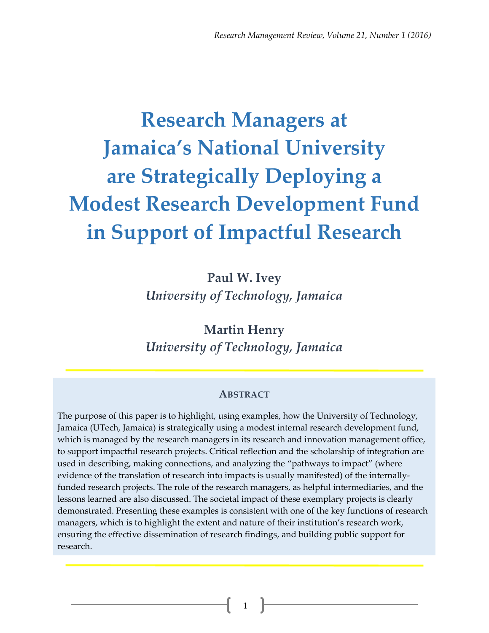# **Research Managers at Jamaica's National University are Strategically Deploying a Modest Research Development Fund in Support of Impactful Research**

**Paul W. Ivey** *University of Technology, Jamaica*

**Martin Henry** *University of Technology, Jamaica*

#### **ABSTRACT**

The purpose of this paper is to highlight, using examples, how the University of Technology, Jamaica (UTech, Jamaica) is strategically using a modest internal research development fund, which is managed by the research managers in its research and innovation management office, to support impactful research projects. Critical reflection and the scholarship of integration are used in describing, making connections, and analyzing the "pathways to impact" (where evidence of the translation of research into impacts is usually manifested) of the internallyfunded research projects. The role of the research managers, as helpful intermediaries, and the lessons learned are also discussed. The societal impact of these exemplary projects is clearly demonstrated. Presenting these examples is consistent with one of the key functions of research managers, which is to highlight the extent and nature of their institution's research work, ensuring the effective dissemination of research findings, and building public support for research.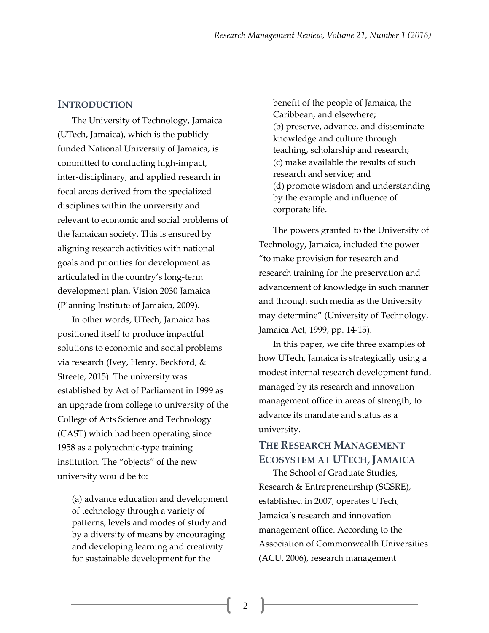#### **INTRODUCTION**

The University of Technology, Jamaica (UTech, Jamaica), which is the publiclyfunded National University of Jamaica, is committed to conducting high-impact, inter-disciplinary, and applied research in focal areas derived from the specialized disciplines within the university and relevant to economic and social problems of the Jamaican society. This is ensured by aligning research activities with national goals and priorities for development as articulated in the country's long-term development plan, Vision 2030 Jamaica (Planning Institute of Jamaica, 2009).

In other words, UTech, Jamaica has positioned itself to produce impactful solutions to economic and social problems via research (Ivey, Henry, Beckford, & Streete, 2015). The university was established by Act of Parliament in 1999 as an upgrade from college to university of the College of Arts Science and Technology (CAST) which had been operating since 1958 as a polytechnic-type training institution. The "objects" of the new university would be to:

(a) advance education and development of technology through a variety of patterns, levels and modes of study and by a diversity of means by encouraging and developing learning and creativity for sustainable development for the

benefit of the people of Jamaica, the Caribbean, and elsewhere; (b) preserve, advance, and disseminate knowledge and culture through teaching, scholarship and research; (c) make available the results of such research and service; and (d) promote wisdom and understanding by the example and influence of corporate life.

The powers granted to the University of Technology, Jamaica, included the power "to make provision for research and research training for the preservation and advancement of knowledge in such manner and through such media as the University may determine" (University of Technology, Jamaica Act, 1999, pp. 14-15).

In this paper, we cite three examples of how UTech, Jamaica is strategically using a modest internal research development fund, managed by its research and innovation management office in areas of strength, to advance its mandate and status as a university.

## **THE RESEARCH MANAGEMENT ECOSYSTEM AT UTECH, JAMAICA**

The School of Graduate Studies, Research & Entrepreneurship (SGSRE), established in 2007, operates UTech, Jamaica's research and innovation management office. According to the Association of Commonwealth Universities (ACU, 2006), research management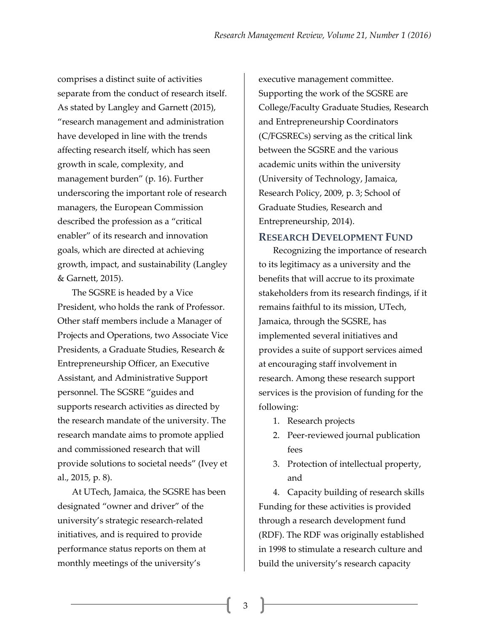comprises a distinct suite of activities separate from the conduct of research itself. As stated by Langley and Garnett (2015), "research management and administration have developed in line with the trends affecting research itself, which has seen growth in scale, complexity, and management burden" (p. 16). Further underscoring the important role of research managers, the European Commission described the profession as a "critical enabler" of its research and innovation goals, which are directed at achieving growth, impact, and sustainability (Langley & Garnett, 2015).

The SGSRE is headed by a Vice President, who holds the rank of Professor. Other staff members include a Manager of Projects and Operations, two Associate Vice Presidents, a Graduate Studies, Research & Entrepreneurship Officer, an Executive Assistant, and Administrative Support personnel. The SGSRE "guides and supports research activities as directed by the research mandate of the university. The research mandate aims to promote applied and commissioned research that will provide solutions to societal needs" (Ivey et al., 2015, p. 8).

At UTech, Jamaica, the SGSRE has been designated "owner and driver" of the university's strategic research-related initiatives, and is required to provide performance status reports on them at monthly meetings of the university's

executive management committee. Supporting the work of the SGSRE are College/Faculty Graduate Studies, Research and Entrepreneurship Coordinators (C/FGSRECs) serving as the critical link between the SGSRE and the various academic units within the university (University of Technology, Jamaica, Research Policy, 2009, p. 3; School of Graduate Studies, Research and Entrepreneurship, 2014).

#### **RESEARCH DEVELOPMENT FUND**

Recognizing the importance of research to its legitimacy as a university and the benefits that will accrue to its proximate stakeholders from its research findings, if it remains faithful to its mission, UTech, Jamaica, through the SGSRE, has implemented several initiatives and provides a suite of support services aimed at encouraging staff involvement in research. Among these research support services is the provision of funding for the following:

- 1. Research projects
- 2. Peer-reviewed journal publication fees
- 3. Protection of intellectual property, and

4. Capacity building of research skills Funding for these activities is provided through a research development fund (RDF). The RDF was originally established in 1998 to stimulate a research culture and build the university's research capacity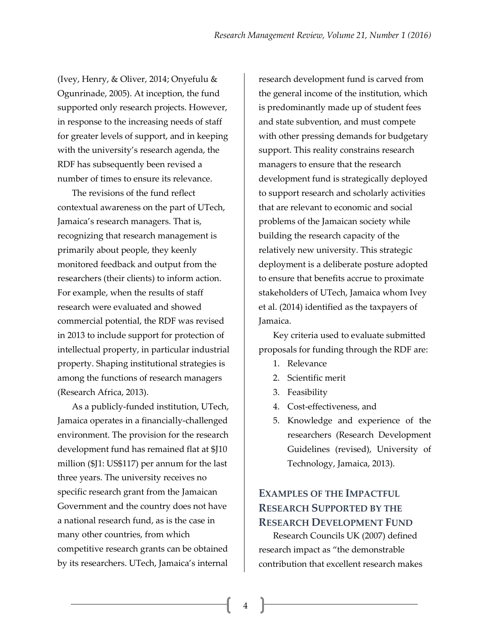(Ivey, Henry, & Oliver, 2014; Onyefulu & Ogunrinade, 2005). At inception, the fund supported only research projects. However, in response to the increasing needs of staff for greater levels of support, and in keeping with the university's research agenda, the RDF has subsequently been revised a number of times to ensure its relevance.

The revisions of the fund reflect contextual awareness on the part of UTech, Jamaica's research managers. That is, recognizing that research management is primarily about people, they keenly monitored feedback and output from the researchers (their clients) to inform action. For example, when the results of staff research were evaluated and showed commercial potential, the RDF was revised in 2013 to include support for protection of intellectual property, in particular industrial property. Shaping institutional strategies is among the functions of research managers (Research Africa, 2013).

As a publicly-funded institution, UTech, Jamaica operates in a financially-challenged environment. The provision for the research development fund has remained flat at \$J10 million (\$J1: US\$117) per annum for the last three years. The university receives no specific research grant from the Jamaican Government and the country does not have a national research fund, as is the case in many other countries, from which competitive research grants can be obtained by its researchers. UTech, Jamaica's internal

research development fund is carved from the general income of the institution, which is predominantly made up of student fees and state subvention, and must compete with other pressing demands for budgetary support. This reality constrains research managers to ensure that the research development fund is strategically deployed to support research and scholarly activities that are relevant to economic and social problems of the Jamaican society while building the research capacity of the relatively new university. This strategic deployment is a deliberate posture adopted to ensure that benefits accrue to proximate stakeholders of UTech, Jamaica whom Ivey et al. (2014) identified as the taxpayers of Jamaica.

Key criteria used to evaluate submitted proposals for funding through the RDF are:

- 1. Relevance
- 2. Scientific merit
- 3. Feasibility
- 4. Cost-effectiveness, and
- 5. Knowledge and experience of the researchers (Research Development Guidelines (revised), University of Technology, Jamaica, 2013).

## **EXAMPLES OF THE IMPACTFUL RESEARCH SUPPORTED BY THE RESEARCH DEVELOPMENT FUND**

Research Councils UK (2007) defined research impact as "the demonstrable contribution that excellent research makes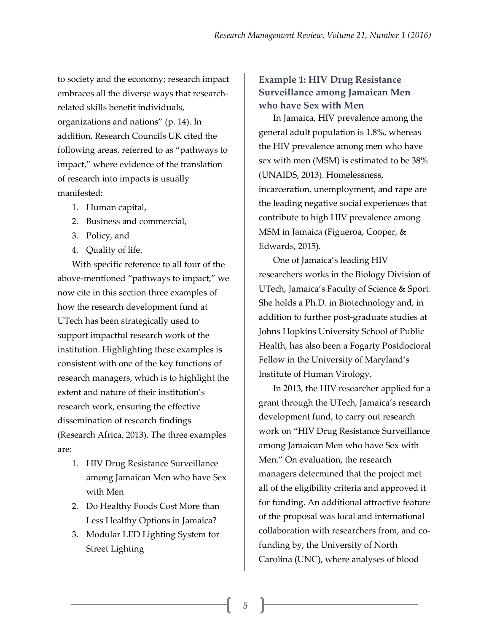to society and the economy; research impact embraces all the diverse ways that researchrelated skills benefit individuals, organizations and nations" (p. 14). In addition, Research Councils UK cited the following areas, referred to as "pathways to impact," where evidence of the translation of research into impacts is usually manifested:

- 1. Human capital,
- 2. Business and commercial,
- 3. Policy, and
- 4. Quality of life.

With specific reference to all four of the above-mentioned "pathways to impact," we now cite in this section three examples of how the research development fund at UTech has been strategically used to support impactful research work of the institution. Highlighting these examples is consistent with one of the key functions of research managers, which is to highlight the extent and nature of their institution's research work, ensuring the effective dissemination of research findings (Research Africa, 2013). The three examples are:

- 1. HIV Drug Resistance Surveillance among Jamaican Men who have Sex with Men
- 2. Do Healthy Foods Cost More than Less Healthy Options in Jamaica?
- 3. Modular LED Lighting System for Street Lighting

### **Example 1: HIV Drug Resistance Surveillance among Jamaican Men who have Sex with Men**

In Jamaica, HIV prevalence among the general adult population is 1.8%, whereas the HIV prevalence among men who have sex with men (MSM) is estimated to be 38% (UNAIDS, 2013). Homelessness, incarceration, unemployment, and rape are the leading negative social experiences that contribute to high HIV prevalence among MSM in Jamaica (Figueroa, Cooper, & Edwards, 2015).

One of Jamaica's leading HIV researchers works in the Biology Division of UTech, Jamaica's Faculty of Science & Sport. She holds a Ph.D. in Biotechnology and, in addition to further post-graduate studies at Johns Hopkins University School of Public Health, has also been a Fogarty Postdoctoral Fellow in the University of Maryland's Institute of Human Virology.

In 2013, the HIV researcher applied for a grant through the UTech, Jamaica's research development fund, to carry out research work on "HIV Drug Resistance Surveillance among Jamaican Men who have Sex with Men." On evaluation, the research managers determined that the project met all of the eligibility criteria and approved it for funding. An additional attractive feature of the proposal was local and international collaboration with researchers from, and cofunding by, the University of North Carolina (UNC), where analyses of blood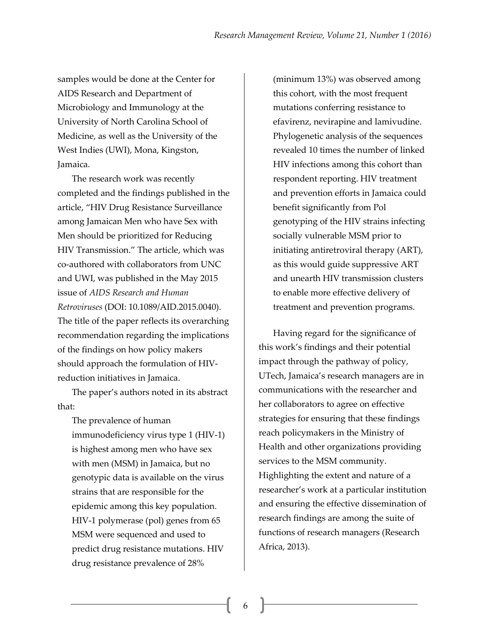samples would be done at the Center for AIDS Research and Department of Microbiology and Immunology at the University of North Carolina School of Medicine, as well as the University of the West Indies (UWI), Mona, Kingston, Jamaica.

The research work was recently completed and the findings published in the article, "HIV Drug Resistance Surveillance among Jamaican Men who have Sex with Men should be prioritized for Reducing HIV Transmission." The article, which was co-authored with collaborators from UNC and UWI, was published in the May 2015 issue of *AIDS Research and Human Retroviruses* (DOI: 10.1089/AID.2015.0040). The title of the paper reflects its overarching recommendation regarding the implications of the findings on how policy makers should approach the formulation of HIVreduction initiatives in Jamaica.

The paper's authors noted in its abstract that:

The prevalence of human immunodeficiency virus type 1 (HIV-1) is highest among men who have sex with men (MSM) in Jamaica, but no genotypic data is available on the virus strains that are responsible for the epidemic among this key population. HIV-1 polymerase (pol) genes from 65 MSM were sequenced and used to predict drug resistance mutations. HIV drug resistance prevalence of 28%

(minimum 13%) was observed among this cohort, with the most frequent mutations conferring resistance to efavirenz, nevirapine and lamivudine. Phylogenetic analysis of the sequences revealed 10 times the number of linked HIV infections among this cohort than respondent reporting. HIV treatment and prevention efforts in Jamaica could benefit significantly from Pol genotyping of the HIV strains infecting socially vulnerable MSM prior to initiating antiretroviral therapy (ART), as this would guide suppressive ART and unearth HIV transmission clusters to enable more effective delivery of treatment and prevention programs.

Having regard for the significance of this work's findings and their potential impact through the pathway of policy, UTech, Jamaica's research managers are in communications with the researcher and her collaborators to agree on effective strategies for ensuring that these findings reach policymakers in the Ministry of Health and other organizations providing services to the MSM community. Highlighting the extent and nature of a researcher's work at a particular institution and ensuring the effective dissemination of research findings are among the suite of functions of research managers (Research Africa, 2013).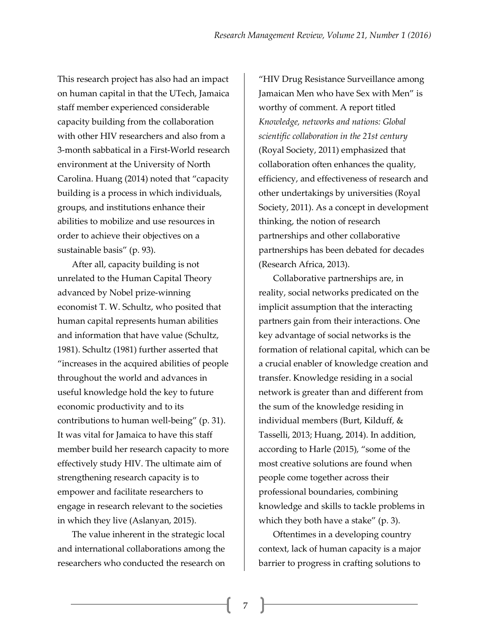This research project has also had an impact on human capital in that the UTech, Jamaica staff member experienced considerable capacity building from the collaboration with other HIV researchers and also from a 3-month sabbatical in a First-World research environment at the University of North Carolina. Huang (2014) noted that "capacity building is a process in which individuals, groups, and institutions enhance their abilities to mobilize and use resources in order to achieve their objectives on a sustainable basis" (p. 93).

After all, capacity building is not unrelated to the Human Capital Theory advanced by Nobel prize-winning economist T. W. Schultz, who posited that human capital represents human abilities and information that have value (Schultz, 1981). Schultz (1981) further asserted that "increases in the acquired abilities of people throughout the world and advances in useful knowledge hold the key to future economic productivity and to its contributions to human well-being" (p. 31). It was vital for Jamaica to have this staff member build her research capacity to more effectively study HIV. The ultimate aim of strengthening research capacity is to empower and facilitate researchers to engage in research relevant to the societies in which they live (Aslanyan, 2015).

The value inherent in the strategic local and international collaborations among the researchers who conducted the research on

"HIV Drug Resistance Surveillance among Jamaican Men who have Sex with Men" is worthy of comment. A report titled *Knowledge, networks and nations: Global scientific collaboration in the 21st century* (Royal Society, 2011) emphasized that collaboration often enhances the quality, efficiency, and effectiveness of research and other undertakings by universities (Royal Society, 2011). As a concept in development thinking, the notion of research partnerships and other collaborative partnerships has been debated for decades (Research Africa, 2013).

Collaborative partnerships are, in reality, social networks predicated on the implicit assumption that the interacting partners gain from their interactions. One key advantage of social networks is the formation of relational capital, which can be a crucial enabler of knowledge creation and transfer. Knowledge residing in a social network is greater than and different from the sum of the knowledge residing in individual members (Burt, Kilduff, & Tasselli, 2013; Huang, 2014). In addition, according to Harle (2015), "some of the most creative solutions are found when people come together across their professional boundaries, combining knowledge and skills to tackle problems in which they both have a stake" (p. 3).

Oftentimes in a developing country context, lack of human capacity is a major barrier to progress in crafting solutions to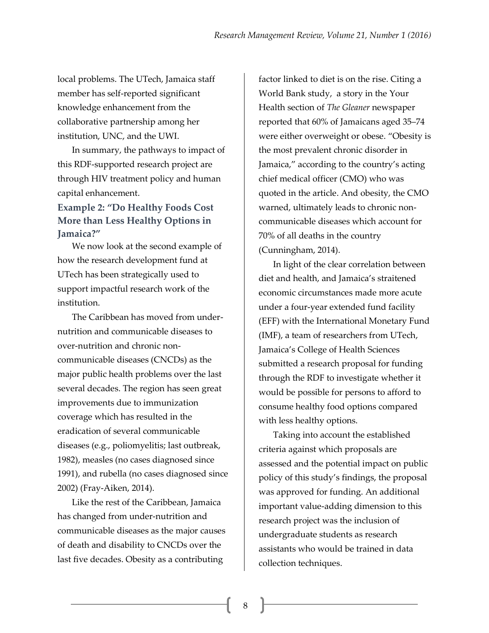local problems. The UTech, Jamaica staff member has self-reported significant knowledge enhancement from the collaborative partnership among her institution, UNC, and the UWI.

In summary, the pathways to impact of this RDF-supported research project are through HIV treatment policy and human capital enhancement.

## **Example 2: "Do Healthy Foods Cost More than Less Healthy Options in Jamaica?"**

We now look at the second example of how the research development fund at UTech has been strategically used to support impactful research work of the institution.

The Caribbean has moved from undernutrition and communicable diseases to over-nutrition and chronic noncommunicable diseases (CNCDs) as the major public health problems over the last several decades. The region has seen great improvements due to immunization coverage which has resulted in the eradication of several communicable diseases (e.g., poliomyelitis; last outbreak, 1982), measles (no cases diagnosed since 1991), and rubella (no cases diagnosed since 2002) (Fray-Aiken, 2014).

Like the rest of the Caribbean, Jamaica has changed from under-nutrition and communicable diseases as the major causes of death and disability to CNCDs over the last five decades. Obesity as a contributing

factor linked to diet is on the rise. Citing a World Bank study, a story in the Your Health section of *The Gleaner* newspaper reported that 60% of Jamaicans aged 35–74 were either overweight or obese. "Obesity is the most prevalent chronic disorder in Jamaica," according to the country's acting chief medical officer (CMO) who was quoted in the article. And obesity, the CMO warned, ultimately leads to chronic noncommunicable diseases which account for 70% of all deaths in the country (Cunningham, 2014).

In light of the clear correlation between diet and health, and Jamaica's straitened economic circumstances made more acute under a four-year extended fund facility (EFF) with the International Monetary Fund (IMF), a team of researchers from UTech, Jamaica's College of Health Sciences submitted a research proposal for funding through the RDF to investigate whether it would be possible for persons to afford to consume healthy food options compared with less healthy options.

Taking into account the established criteria against which proposals are assessed and the potential impact on public policy of this study's findings, the proposal was approved for funding. An additional important value-adding dimension to this research project was the inclusion of undergraduate students as research assistants who would be trained in data collection techniques.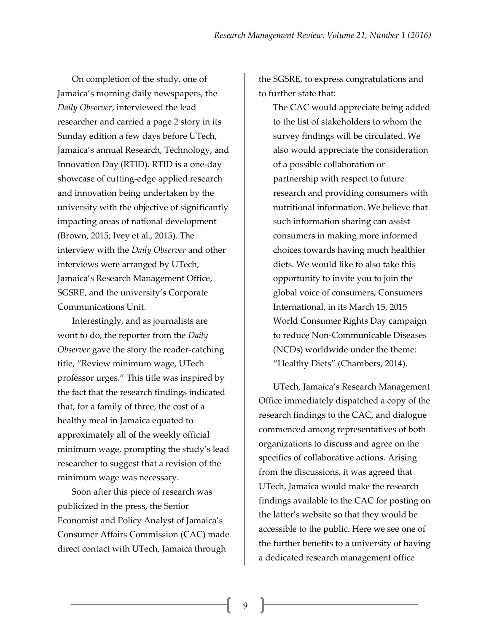On completion of the study, one of Jamaica's morning daily newspapers, the *Daily Observer*, interviewed the lead researcher and carried a page 2 story in its Sunday edition a few days before UTech, Jamaica's annual Research, Technology, and Innovation Day (RTID). RTID is a one-day showcase of cutting-edge applied research and innovation being undertaken by the university with the objective of significantly impacting areas of national development (Brown, 2015; Ivey et al., 2015). The interview with the *Daily Observer* and other interviews were arranged by UTech, Jamaica's Research Management Office, SGSRE, and the university's Corporate Communications Unit.

Interestingly, and as journalists are wont to do, the reporter from the *Daily Observer* gave the story the reader-catching title, "Review minimum wage, UTech professor urges." This title was inspired by the fact that the research findings indicated that, for a family of three, the cost of a healthy meal in Jamaica equated to approximately all of the weekly official minimum wage, prompting the study's lead researcher to suggest that a revision of the minimum wage was necessary.

Soon after this piece of research was publicized in the press, the Senior Economist and Policy Analyst of Jamaica's Consumer Affairs Commission (CAC) made direct contact with UTech, Jamaica through

the SGSRE, to express congratulations and to further state that:

The CAC would appreciate being added to the list of stakeholders to whom the survey findings will be circulated. We also would appreciate the consideration of a possible collaboration or partnership with respect to future research and providing consumers with nutritional information. We believe that such information sharing can assist consumers in making more informed choices towards having much healthier diets. We would like to also take this opportunity to invite you to join the global voice of consumers, Consumers International, in its March 15, 2015 World Consumer Rights Day campaign to reduce Non-Communicable Diseases (NCDs) worldwide under the theme: "Healthy Diets" (Chambers, 2014).

UTech, Jamaica's Research Management Office immediately dispatched a copy of the research findings to the CAC, and dialogue commenced among representatives of both organizations to discuss and agree on the specifics of collaborative actions. Arising from the discussions, it was agreed that UTech, Jamaica would make the research findings available to the CAC for posting on the latter's website so that they would be accessible to the public. Here we see one of the further benefits to a university of having a dedicated research management office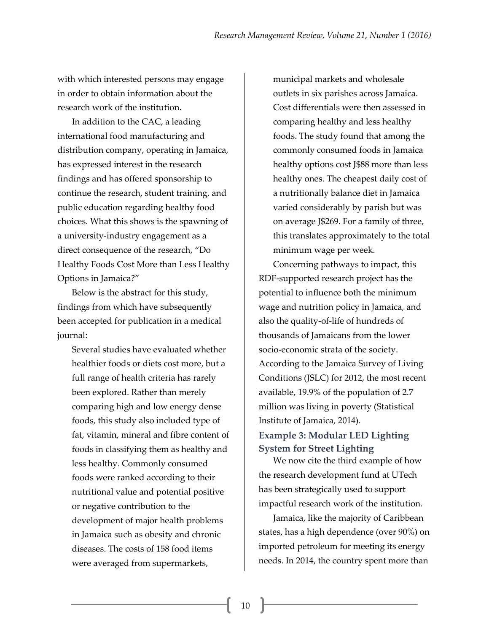with which interested persons may engage in order to obtain information about the research work of the institution.

In addition to the CAC, a leading international food manufacturing and distribution company, operating in Jamaica, has expressed interest in the research findings and has offered sponsorship to continue the research, student training, and public education regarding healthy food choices. What this shows is the spawning of a university-industry engagement as a direct consequence of the research, "Do Healthy Foods Cost More than Less Healthy Options in Jamaica?"

Below is the abstract for this study, findings from which have subsequently been accepted for publication in a medical journal:

Several studies have evaluated whether healthier foods or diets cost more, but a full range of health criteria has rarely been explored. Rather than merely comparing high and low energy dense foods, this study also included type of fat, vitamin, mineral and fibre content of foods in classifying them as healthy and less healthy. Commonly consumed foods were ranked according to their nutritional value and potential positive or negative contribution to the development of major health problems in Jamaica such as obesity and chronic diseases. The costs of 158 food items were averaged from supermarkets,

municipal markets and wholesale outlets in six parishes across Jamaica. Cost differentials were then assessed in comparing healthy and less healthy foods. The study found that among the commonly consumed foods in Jamaica healthy options cost J\$88 more than less healthy ones. The cheapest daily cost of a nutritionally balance diet in Jamaica varied considerably by parish but was on average J\$269. For a family of three, this translates approximately to the total minimum wage per week.

Concerning pathways to impact, this RDF-supported research project has the potential to influence both the minimum wage and nutrition policy in Jamaica, and also the quality-of-life of hundreds of thousands of Jamaicans from the lower socio-economic strata of the society. According to the Jamaica Survey of Living Conditions (JSLC) for 2012, the most recent available, 19.9% of the population of 2.7 million was living in poverty (Statistical Institute of Jamaica, 2014).

#### **Example 3: Modular LED Lighting System for Street Lighting**

We now cite the third example of how the research development fund at UTech has been strategically used to support impactful research work of the institution.

Jamaica, like the majority of Caribbean states, has a high dependence (over 90%) on imported petroleum for meeting its energy needs. In 2014, the country spent more than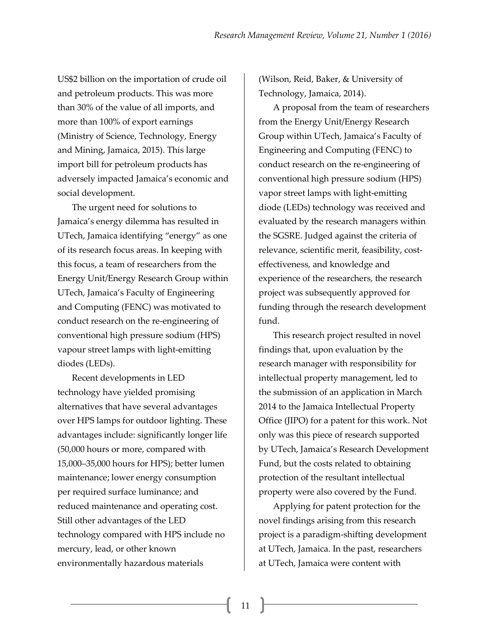US\$2 billion on the importation of crude oil and petroleum products. This was more than 30% of the value of all imports, and more than 100% of export earnings (Ministry of Science, Technology, Energy and Mining, Jamaica, 2015). This large import bill for petroleum products has adversely impacted Jamaica's economic and social development.

The urgent need for solutions to Jamaica's energy dilemma has resulted in UTech, Jamaica identifying "energy" as one of its research focus areas. In keeping with this focus, a team of researchers from the Energy Unit/Energy Research Group within UTech, Jamaica's Faculty of Engineering and Computing (FENC) was motivated to conduct research on the re-engineering of conventional high pressure sodium (HPS) vapour street lamps with light-emitting diodes (LEDs).

Recent developments in LED technology have yielded promising alternatives that have several advantages over HPS lamps for outdoor lighting. These advantages include: significantly longer life (50,000 hours or more, compared with 15,000–35,000 hours for HPS); better lumen maintenance; lower energy consumption per required surface luminance; and reduced maintenance and operating cost. Still other advantages of the LED technology compared with HPS include no mercury, lead, or other known environmentally hazardous materials

(Wilson, Reid, Baker, & University of Technology, Jamaica, 2014).

A proposal from the team of researchers from the Energy Unit/Energy Research Group within UTech, Jamaica's Faculty of Engineering and Computing (FENC) to conduct research on the re-engineering of conventional high pressure sodium (HPS) vapor street lamps with light-emitting diode (LEDs) technology was received and evaluated by the research managers within the SGSRE. Judged against the criteria of relevance, scientific merit, feasibility, costeffectiveness, and knowledge and experience of the researchers, the research project was subsequently approved for funding through the research development fund.

This research project resulted in novel findings that, upon evaluation by the research manager with responsibility for intellectual property management, led to the submission of an application in March 2014 to the Jamaica Intellectual Property Office (JIPO) for a patent for this work. Not only was this piece of research supported by UTech, Jamaica's Research Development Fund, but the costs related to obtaining protection of the resultant intellectual property were also covered by the Fund.

Applying for patent protection for the novel findings arising from this research project is a paradigm-shifting development at UTech, Jamaica. In the past, researchers at UTech, Jamaica were content with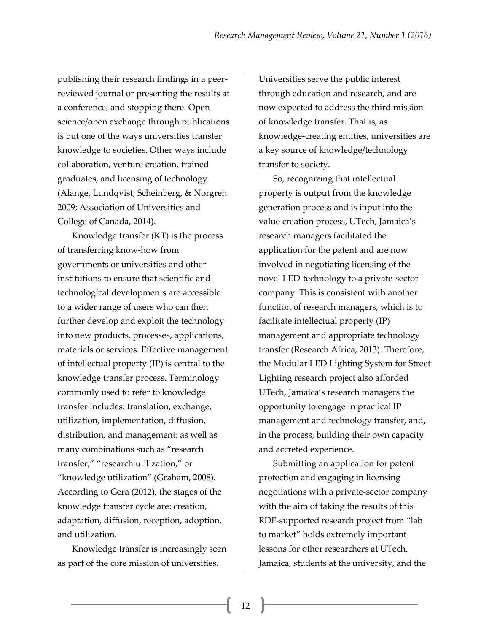publishing their research findings in a peerreviewed journal or presenting the results at a conference, and stopping there. Open science/open exchange through publications is but one of the ways universities transfer knowledge to societies. Other ways include collaboration, venture creation, trained graduates, and licensing of technology (Alange, Lundqvist, Scheinberg, & Norgren 2009; Association of Universities and College of Canada, 2014).

Knowledge transfer (KT) is the process of transferring know-how from governments or universities and other institutions to ensure that scientific and technological developments are accessible to a wider range of users who can then further develop and exploit the technology into new products, processes, applications, materials or services. Effective management of intellectual property (IP) is central to the knowledge transfer process. Terminology commonly used to refer to knowledge transfer includes: translation, exchange, utilization, implementation, diffusion, distribution, and management; as well as many combinations such as "research transfer," "research utilization," or "knowledge utilization" (Graham, 2008). According to Gera (2012), the stages of the knowledge transfer cycle are: creation, adaptation, diffusion, reception, adoption, and utilization.

Knowledge transfer is increasingly seen as part of the core mission of universities.

Universities serve the public interest through education and research, and are now expected to address the third mission of knowledge transfer. That is, as knowledge-creating entities, universities are a key source of knowledge/technology transfer to society.

So, recognizing that intellectual property is output from the knowledge generation process and is input into the value creation process, UTech, Jamaica's research managers facilitated the application for the patent and are now involved in negotiating licensing of the novel LED-technology to a private-sector company. This is consistent with another function of research managers, which is to facilitate intellectual property (IP) management and appropriate technology transfer (Research Africa, 2013). Therefore, the Modular LED Lighting System for Street Lighting research project also afforded UTech, Jamaica's research managers the opportunity to engage in practical IP management and technology transfer, and, in the process, building their own capacity and accreted experience.

Submitting an application for patent protection and engaging in licensing negotiations with a private-sector company with the aim of taking the results of this RDF-supported research project from "lab to market" holds extremely important lessons for other researchers at UTech, Jamaica, students at the university, and the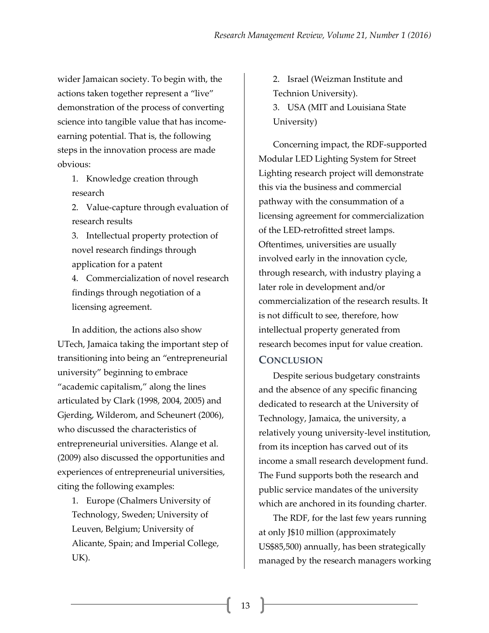wider Jamaican society. To begin with, the actions taken together represent a "live" demonstration of the process of converting science into tangible value that has incomeearning potential. That is, the following steps in the innovation process are made obvious:

1. Knowledge creation through research

2. Value-capture through evaluation of research results

3. Intellectual property protection of novel research findings through application for a patent

4. Commercialization of novel research findings through negotiation of a licensing agreement.

In addition, the actions also show UTech, Jamaica taking the important step of transitioning into being an "entrepreneurial university" beginning to embrace "academic capitalism," along the lines articulated by Clark (1998, 2004, 2005) and Gjerding, Wilderom, and Scheunert (2006), who discussed the characteristics of entrepreneurial universities. Alange et al. (2009) also discussed the opportunities and experiences of entrepreneurial universities, citing the following examples:

1. Europe (Chalmers University of Technology, Sweden; University of Leuven, Belgium; University of Alicante, Spain; and Imperial College, UK).

2. Israel (Weizman Institute and Technion University).

3. USA (MIT and Louisiana State University)

Concerning impact, the RDF-supported Modular LED Lighting System for Street Lighting research project will demonstrate this via the business and commercial pathway with the consummation of a licensing agreement for commercialization of the LED-retrofitted street lamps. Oftentimes, universities are usually involved early in the innovation cycle, through research, with industry playing a later role in development and/or commercialization of the research results. It is not difficult to see, therefore, how intellectual property generated from research becomes input for value creation.

#### **CONCLUSION**

Despite serious budgetary constraints and the absence of any specific financing dedicated to research at the University of Technology, Jamaica, the university, a relatively young university-level institution, from its inception has carved out of its income a small research development fund. The Fund supports both the research and public service mandates of the university which are anchored in its founding charter.

The RDF, for the last few years running at only J\$10 million (approximately US\$85,500) annually, has been strategically managed by the research managers working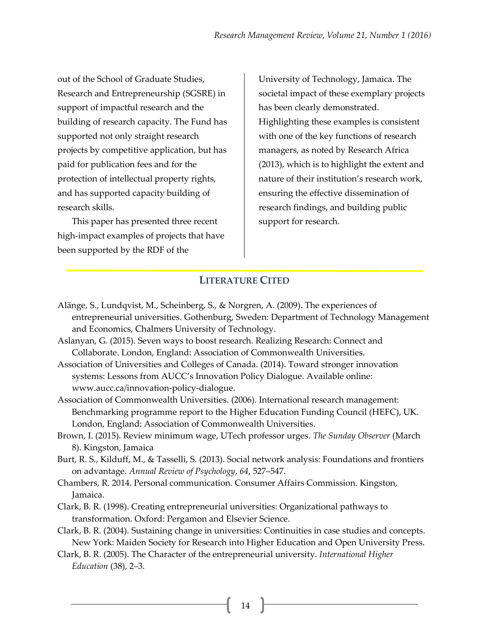out of the School of Graduate Studies, Research and Entrepreneurship (SGSRE) in support of impactful research and the building of research capacity. The Fund has supported not only straight research projects by competitive application, but has paid for publication fees and for the protection of intellectual property rights, and has supported capacity building of research skills.

This paper has presented three recent high-impact examples of projects that have been supported by the RDF of the

University of Technology, Jamaica. The societal impact of these exemplary projects has been clearly demonstrated. Highlighting these examples is consistent with one of the key functions of research managers, as noted by Research Africa (2013), which is to highlight the extent and nature of their institution's research work, ensuring the effective dissemination of research findings, and building public support for research.

### **LITERATURE CITED**

- Alänge, S., Lundqvist, M., Scheinberg, S., & Norgren, A. (2009). The experiences of entrepreneurial universities. Gothenburg, Sweden: Department of Technology Management and Economics, Chalmers University of Technology.
- Aslanyan, G. (2015). Seven ways to boost research. Realizing Research: Connect and Collaborate. London, England: Association of Commonwealth Universities.
- Association of Universities and Colleges of Canada. (2014). Toward stronger innovation systems: Lessons from AUCC's Innovation Policy Dialogue. Available online: www.aucc.ca/innovation-policy-dialogue.
- Association of Commonwealth Universities. (2006). International research management: Benchmarking programme report to the Higher Education Funding Council (HEFC), UK. London, England: Association of Commonwealth Universities.
- Brown, I. (2015). Review minimum wage, UTech professor urges. *The Sunday Observer* (March 8). Kingston, Jamaica
- Burt, R. S., Kilduff, M., & Tasselli, S. (2013). Social network analysis: Foundations and frontiers on advantage. *Annual Review of Psychology*, *64*, 527–547.
- Chambers, R. 2014. Personal communication. Consumer Affairs Commission. Kingston, Jamaica.
- Clark, B. R. (1998). Creating entrepreneurial universities: Organizational pathways to transformation. Oxford: Pergamon and Elsevier Science.
- Clark, B. R. (2004). Sustaining change in universities: Continuities in case studies and concepts. New York: Maiden Society for Research into Higher Education and Open University Press.
- Clark, B. R. (2005). The Character of the entrepreneurial university. *International Higher Education* (38), 2–3.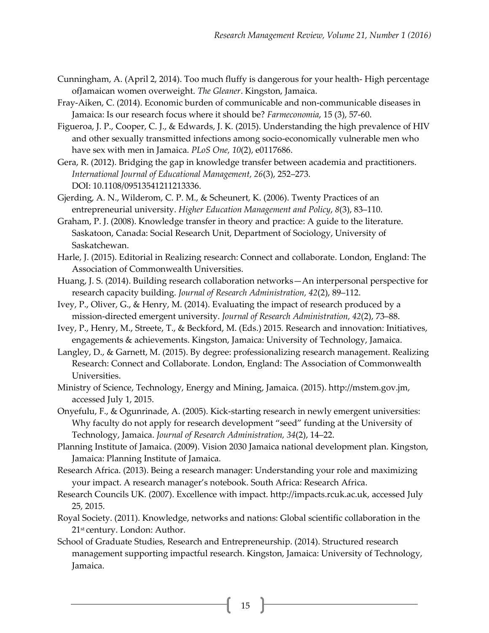- Cunningham, A. (April 2, 2014). Too much fluffy is dangerous for your health- High percentage ofJamaican women overweight. *The Gleaner*. Kingston, Jamaica.
- Fray-Aiken, C. (2014). Economic burden of communicable and non-communicable diseases in Jamaica: Is our research focus where it should be? *Farmeconomia*, 15 (3), 57-60.
- Figueroa, J. P., Cooper, C. J., & Edwards, J. K. (2015). Understanding the high prevalence of HIV and other sexually transmitted infections among socio-economically vulnerable men who have sex with men in Jamaica. *PLoS One, 10*(2), e0117686.
- Gera, R. (2012). Bridging the gap in knowledge transfer between academia and practitioners. *International Journal of Educational Management, 26*(3), 252–273. DOI: 10.1108/09513541211213336.
- Gjerding, A. N., Wilderom, C. P. M., & Scheunert, K. (2006). Twenty Practices of an entrepreneurial university. *Higher Education Management and Policy*, *8*(3), 83–110.
- Graham, P. J. (2008). Knowledge transfer in theory and practice: A guide to the literature. Saskatoon, Canada: Social Research Unit, Department of Sociology, University of Saskatchewan.
- Harle, J. (2015). Editorial in Realizing research: Connect and collaborate. London, England: The Association of Commonwealth Universities.
- Huang, J. S. (2014). Building research collaboration networks—An interpersonal perspective for research capacity building. *Journal of Research Administration, 42*(2), 89–112.
- Ivey, P., Oliver, G., & Henry, M. (2014). Evaluating the impact of research produced by a mission-directed emergent university. *Journal of Research Administration, 42*(2), 73–88.
- Ivey, P., Henry, M., Streete, T., & Beckford, M. (Eds.) 2015. Research and innovation: Initiatives, engagements & achievements. Kingston, Jamaica: University of Technology, Jamaica.
- Langley, D., & Garnett, M. (2015). By degree: professionalizing research management. Realizing Research: Connect and Collaborate. London, England: The Association of Commonwealth Universities.
- Ministry of Science, Technology, Energy and Mining, Jamaica. (2015). http://mstem.gov.jm, accessed July 1, 2015.
- Onyefulu, F., & Ogunrinade, A. (2005). Kick-starting research in newly emergent universities: Why faculty do not apply for research development "seed" funding at the University of Technology, Jamaica. *Journal of Research Administration, 34*(2), 14–22.
- Planning Institute of Jamaica. (2009). Vision 2030 Jamaica national development plan. Kingston, Jamaica: Planning Institute of Jamaica.
- Research Africa. (2013). Being a research manager: Understanding your role and maximizing your impact. A research manager's notebook. South Africa: Research Africa.
- Research Councils UK. (2007). Excellence with impact. http://impacts.rcuk.ac.uk, accessed July 25, 2015.
- Royal Society. (2011). Knowledge, networks and nations: Global scientific collaboration in the 21<sup>st</sup> century. London: Author.
- School of Graduate Studies, Research and Entrepreneurship. (2014). Structured research management supporting impactful research. Kingston, Jamaica: University of Technology, Jamaica.